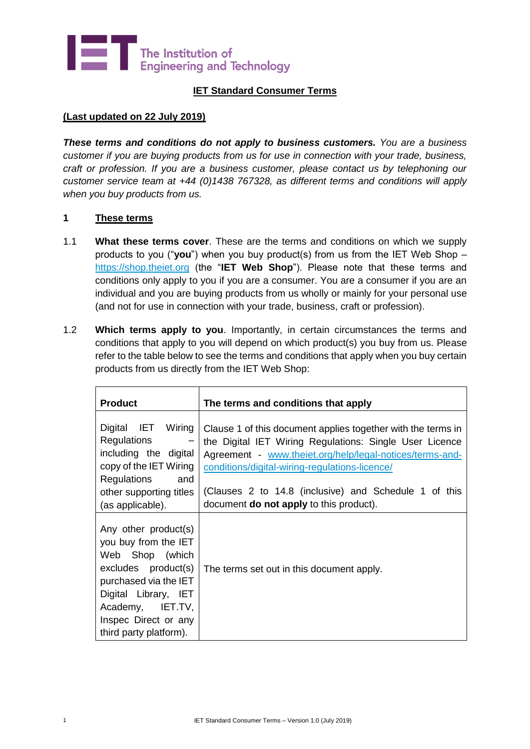

## **IET Standard Consumer Terms**

#### **(Last updated on 22 July 2019)**

*These terms and conditions do not apply to business customers. You are a business customer if you are buying products from us for use in connection with your trade, business, craft or profession. If you are a business customer, please contact us by telephoning our customer service team at +44 (0)1438 767328, as different terms and conditions will apply when you buy products from us.*

#### **1 These terms**

- 1.1 **What these terms cover**. These are the terms and conditions on which we supply products to you ("**you**") when you buy product(s) from us from the IET Web Shop – [https://shop.theiet.org](https://shop.theiet.org/) (the "**IET Web Shop**"). Please note that these terms and conditions only apply to you if you are a consumer. You are a consumer if you are an individual and you are buying products from us wholly or mainly for your personal use (and not for use in connection with your trade, business, craft or profession).
- <span id="page-0-0"></span>1.2 **Which terms apply to you**. Importantly, in certain circumstances the terms and conditions that apply to you will depend on which product(s) you buy from us. Please refer to the table below to see the terms and conditions that apply when you buy certain products from us directly from the IET Web Shop:

| <b>Product</b>                                                                                                                                                                                                | The terms and conditions that apply                                                                                                                                                                                                   |
|---------------------------------------------------------------------------------------------------------------------------------------------------------------------------------------------------------------|---------------------------------------------------------------------------------------------------------------------------------------------------------------------------------------------------------------------------------------|
| Digital IET Wiring<br><b>Regulations</b><br>$\overline{\phantom{m}}$<br>including the digital<br>copy of the IET Wiring                                                                                       | Clause 1 of this document applies together with the terms in<br>the Digital IET Wiring Regulations: Single User Licence<br>Agreement - www.theiet.org/help/legal-notices/terms-and-<br>conditions/digital-wiring-regulations-licence/ |
| Regulations<br>and<br>other supporting titles<br>(as applicable).                                                                                                                                             | (Clauses 2 to 14.8 (inclusive) and Schedule 1 of this<br>document <b>do not apply</b> to this product).                                                                                                                               |
| Any other product(s)<br>you buy from the IET<br>Web Shop (which<br>excludes product(s)<br>purchased via the IET<br>Digital Library, IET<br>Academy, IET.TV,<br>Inspec Direct or any<br>third party platform). | The terms set out in this document apply.                                                                                                                                                                                             |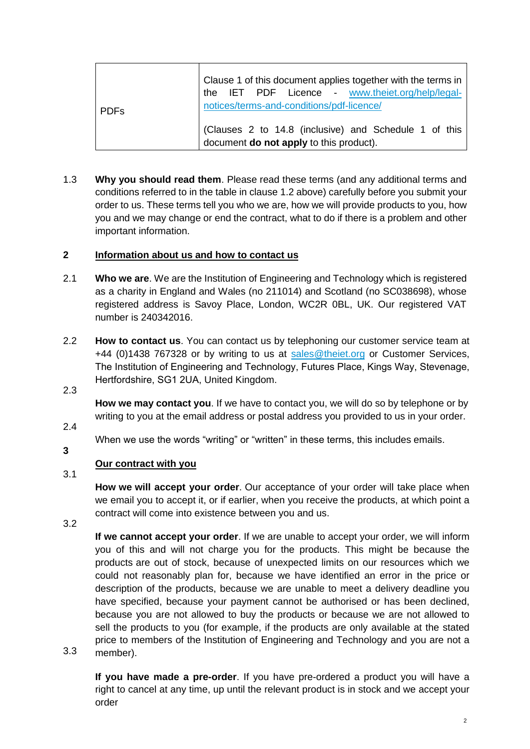| l PDFs. | Clause 1 of this document applies together with the terms in<br>the IET PDF Licence - www.theiet.org/help/legal-<br>notices/terms-and-conditions/pdf-licence/ |
|---------|---------------------------------------------------------------------------------------------------------------------------------------------------------------|
|         | (Clauses 2 to 14.8 (inclusive) and Schedule 1 of this  <br>document do not apply to this product).                                                            |

1.3 **Why you should read them**. Please read these terms (and any additional terms and conditions referred to in the table in claus[e 1.2](#page-0-0) above) carefully before you submit your order to us. These terms tell you who we are, how we will provide products to you, how you and we may change or end the contract, what to do if there is a problem and other important information.

#### <span id="page-1-0"></span>**2 Information about us and how to contact us**

- 2.1 **Who we are**. We are the Institution of Engineering and Technology which is registered as a charity in England and Wales (no 211014) and Scotland (no SC038698), whose registered address is Savoy Place, London, WC2R 0BL, UK. Our registered VAT number is 240342016.
- 2.2 **How to contact us**. You can contact us by telephoning our customer service team at +44 (0)1438 767328 or by writing to us at [sales@theiet.org](mailto:sales@theiet.org) or Customer Services, The Institution of Engineering and Technology, Futures Place, Kings Way, Stevenage, Hertfordshire, SG1 2UA, United Kingdom.
- 2.3

**How we may contact you**. If we have to contact you, we will do so by telephone or by writing to you at the email address or postal address you provided to us in your order.

2.4

**3**

When we use the words "writing" or "written" in these terms, this includes emails.

#### <span id="page-1-1"></span>3.1 **Our contract with you**

**How we will accept your order**. Our acceptance of your order will take place when we email you to accept it, or if earlier, when you receive the products, at which point a contract will come into existence between you and us.

3.2

**If we cannot accept your order**. If we are unable to accept your order, we will inform you of this and will not charge you for the products. This might be because the products are out of stock, because of unexpected limits on our resources which we could not reasonably plan for, because we have identified an error in the price or description of the products, because we are unable to meet a delivery deadline you have specified, because your payment cannot be authorised or has been declined, because you are not allowed to buy the products or because we are not allowed to sell the products to you (for example, if the products are only available at the stated price to members of the Institution of Engineering and Technology and you are not a member).

3.3

**If you have made a pre-order**. If you have pre-ordered a product you will have a right to cancel at any time, up until the relevant product is in stock and we accept your order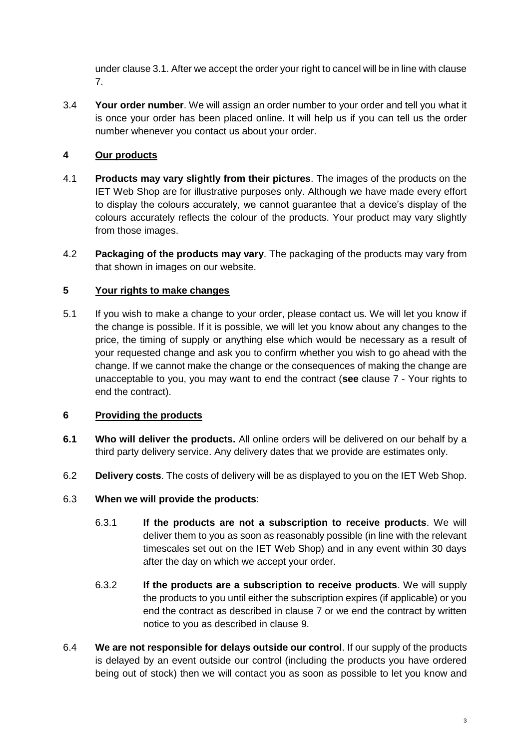under claus[e 3.1.](#page-1-1) After we accept the order your right to cancel will be in line with clause 7.

3.4 **Your order number**. We will assign an order number to your order and tell you what it is once your order has been placed online. It will help us if you can tell us the order number whenever you contact us about your order.

# **4 Our products**

- 4.1 **Products may vary slightly from their pictures**. The images of the products on the IET Web Shop are for illustrative purposes only. Although we have made every effort to display the colours accurately, we cannot guarantee that a device's display of the colours accurately reflects the colour of the products. Your product may vary slightly from those images.
- 4.2 **Packaging of the products may vary**. The packaging of the products may vary from that shown in images on our website.

# **5 Your rights to make changes**

5.1 If you wish to make a change to your order, please contact us. We will let you know if the change is possible. If it is possible, we will let you know about any changes to the price, the timing of supply or anything else which would be necessary as a result of your requested change and ask you to confirm whether you wish to go ahead with the change. If we cannot make the change or the consequences of making the change are unacceptable to you, you may want to end the contract (**see** clause [7](#page-4-0) - Your rights to end the contract).

# **6 Providing the products**

- **6.1 Who will deliver the products.** All online orders will be delivered on our behalf by a third party delivery service. Any delivery dates that we provide are estimates only.
- 6.2 **Delivery costs**. The costs of delivery will be as displayed to you on the IET Web Shop.

# 6.3 **When we will provide the products**:

- 6.3.1 **If the products are not a subscription to receive products**. We will deliver them to you as soon as reasonably possible (in line with the relevant timescales set out on the IET Web Shop) and in any event within 30 days after the day on which we accept your order.
- 6.3.2 **If the products are a subscription to receive products**. We will supply the products to you until either the subscription expires (if applicable) or you end the contract as described in clause [7](#page-4-0) or we end the contract by written notice to you as described in clause [9.](#page-7-0)
- 6.4 **We are not responsible for delays outside our control**. If our supply of the products is delayed by an event outside our control (including the products you have ordered being out of stock) then we will contact you as soon as possible to let you know and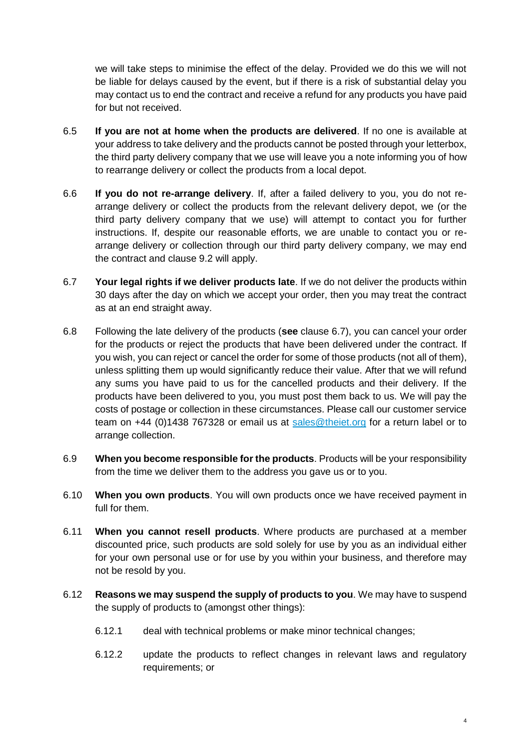we will take steps to minimise the effect of the delay. Provided we do this we will not be liable for delays caused by the event, but if there is a risk of substantial delay you may contact us to end the contract and receive a refund for any products you have paid for but not received.

- 6.5 **If you are not at home when the products are delivered**. If no one is available at your address to take delivery and the products cannot be posted through your letterbox, the third party delivery company that we use will leave you a note informing you of how to rearrange delivery or collect the products from a local depot.
- 6.6 **If you do not re-arrange delivery**. If, after a failed delivery to you, you do not rearrange delivery or collect the products from the relevant delivery depot, we (or the third party delivery company that we use) will attempt to contact you for further instructions. If, despite our reasonable efforts, we are unable to contact you or rearrange delivery or collection through our third party delivery company, we may end the contract and clause [9.2](#page-7-1) will apply.
- <span id="page-3-0"></span>6.7 **Your legal rights if we deliver products late**. If we do not deliver the products within 30 days after the day on which we accept your order, then you may treat the contract as at an end straight away.
- 6.8 Following the late delivery of the products (**see** clause [6.7\)](#page-3-0), you can cancel your order for the products or reject the products that have been delivered under the contract. If you wish, you can reject or cancel the order for some of those products (not all of them), unless splitting them up would significantly reduce their value. After that we will refund any sums you have paid to us for the cancelled products and their delivery. If the products have been delivered to you, you must post them back to us. We will pay the costs of postage or collection in these circumstances. Please call our customer service team on +44 (0)1438 767328 or email us at [sales@theiet.org](mailto:sales@theiet.org) for a return label or to arrange collection.
- 6.9 **When you become responsible for the products**. Products will be your responsibility from the time we deliver them to the address you gave us or to you.
- 6.10 **When you own products**. You will own products once we have received payment in full for them.
- 6.11 **When you cannot resell products**. Where products are purchased at a member discounted price, such products are sold solely for use by you as an individual either for your own personal use or for use by you within your business, and therefore may not be resold by you.
- 6.12 **Reasons we may suspend the supply of products to you**. We may have to suspend the supply of products to (amongst other things):
	- 6.12.1 deal with technical problems or make minor technical changes;
	- 6.12.2 update the products to reflect changes in relevant laws and regulatory requirements; or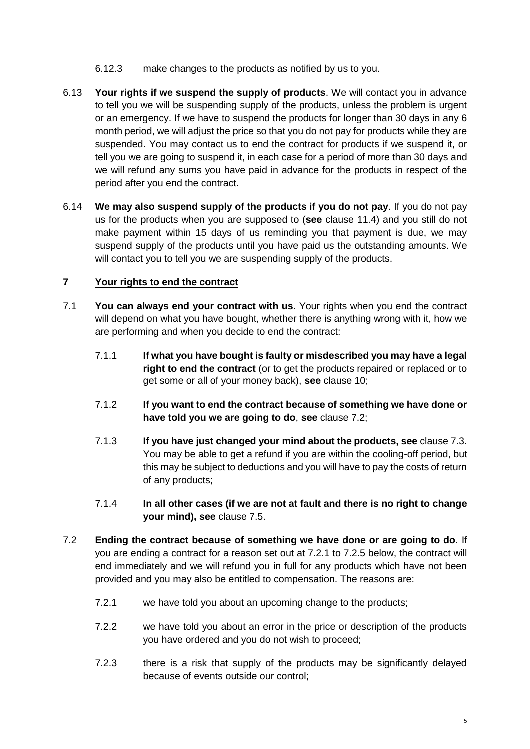- 6.12.3 make changes to the products as notified by us to you.
- 6.13 **Your rights if we suspend the supply of products**. We will contact you in advance to tell you we will be suspending supply of the products, unless the problem is urgent or an emergency. If we have to suspend the products for longer than 30 days in any 6 month period, we will adjust the price so that you do not pay for products while they are suspended. You may contact us to end the contract for products if we suspend it, or tell you we are going to suspend it, in each case for a period of more than 30 days and we will refund any sums you have paid in advance for the products in respect of the period after you end the contract.
- 6.14 **We may also suspend supply of the products if you do not pay**. If you do not pay us for the products when you are supposed to (**see** clause 11.4) and you still do not make payment within 15 days of us reminding you that payment is due, we may suspend supply of the products until you have paid us the outstanding amounts. We will contact you to tell you we are suspending supply of the products.

#### <span id="page-4-0"></span>**7 Your rights to end the contract**

- 7.1 **You can always end your contract with us**. Your rights when you end the contract will depend on what you have bought, whether there is anything wrong with it, how we are performing and when you decide to end the contract:
	- 7.1.1 **If what you have bought is faulty or misdescribed you may have a legal right to end the contract** (or to get the products repaired or replaced or to get some or all of your money back), **see** clause [10;](#page-7-2)
	- 7.1.2 **If you want to end the contract because of something we have done or have told you we are going to do**, **see** clause [7.2;](#page-4-1)
	- 7.1.3 **If you have just changed your mind about the products, see** clause [7.3.](#page-5-0) You may be able to get a refund if you are within the cooling-off period, but this may be subject to deductions and you will have to pay the costs of return of any products;
	- 7.1.4 **In all other cases (if we are not at fault and there is no right to change your mind), see** clause [7.5.](#page-5-1)
- <span id="page-4-2"></span><span id="page-4-1"></span>7.2 **Ending the contract because of something we have done or are going to do**. If you are ending a contract for a reason set out at [7.2.1](#page-4-2) to [7.2.5](#page-5-2) below, the contract will end immediately and we will refund you in full for any products which have not been provided and you may also be entitled to compensation. The reasons are:
	- 7.2.1 we have told you about an upcoming change to the products;
	- 7.2.2 we have told you about an error in the price or description of the products you have ordered and you do not wish to proceed;
	- 7.2.3 there is a risk that supply of the products may be significantly delayed because of events outside our control;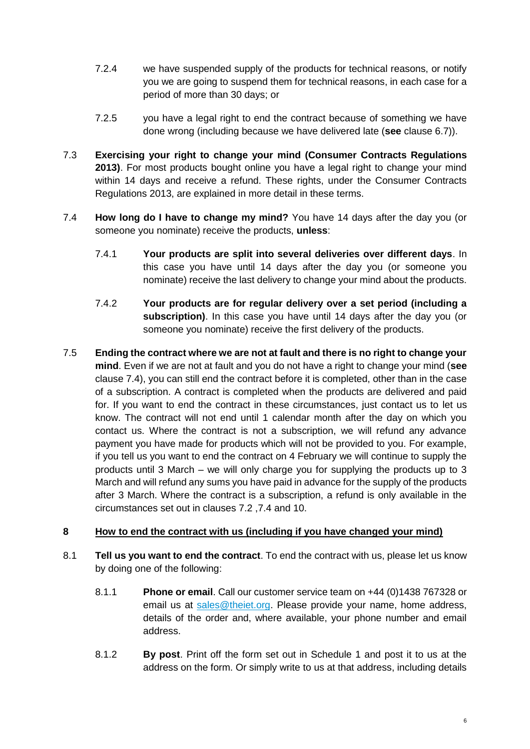- 7.2.4 we have suspended supply of the products for technical reasons, or notify you we are going to suspend them for technical reasons, in each case for a period of more than 30 days; or
- <span id="page-5-2"></span>7.2.5 you have a legal right to end the contract because of something we have done wrong (including because we have delivered late (**see** clause [6.7\)](#page-3-0)).
- <span id="page-5-0"></span>7.3 **Exercising your right to change your mind (Consumer Contracts Regulations 2013)**. For most products bought online you have a legal right to change your mind within 14 days and receive a refund. These rights, under the Consumer Contracts Regulations 2013, are explained in more detail in these terms.
- 7.4 **How long do I have to change my mind?** You have 14 days after the day you (or someone you nominate) receive the products, **unless**:
	- 7.4.1 **Your products are split into several deliveries over different days**. In this case you have until 14 days after the day you (or someone you nominate) receive the last delivery to change your mind about the products.
	- 7.4.2 **Your products are for regular delivery over a set period (including a subscription)**. In this case you have until 14 days after the day you (or someone you nominate) receive the first delivery of the products.
- <span id="page-5-1"></span>7.5 **Ending the contract where we are not at fault and there is no right to change your mind**. Even if we are not at fault and you do not have a right to change your mind (**see** clause 7.4), you can still end the contract before it is completed, other than in the case of a subscription. A contract is completed when the products are delivered and paid for. If you want to end the contract in these circumstances, just contact us to let us know. The contract will not end until 1 calendar month after the day on which you contact us. Where the contract is not a subscription, we will refund any advance payment you have made for products which will not be provided to you. For example, if you tell us you want to end the contract on 4 February we will continue to supply the products until 3 March – we will only charge you for supplying the products up to 3 March and will refund any sums you have paid in advance for the supply of the products after 3 March. Where the contract is a subscription, a refund is only available in the circumstances set out in clauses 7.2 ,7.4 and 10.

# **8 How to end the contract with us (including if you have changed your mind)**

- 8.1 **Tell us you want to end the contract**. To end the contract with us, please let us know by doing one of the following:
	- 8.1.1 **Phone or email**. Call our customer service team on +44 (0)1438 767328 or email us at [sales@theiet.org.](mailto:sales@theiet.org) Please provide your name, home address, details of the order and, where available, your phone number and email address.
	- 8.1.2 **By post**. Print off the form set out in Schedule 1 and post it to us at the address on the form. Or simply write to us at that address, including details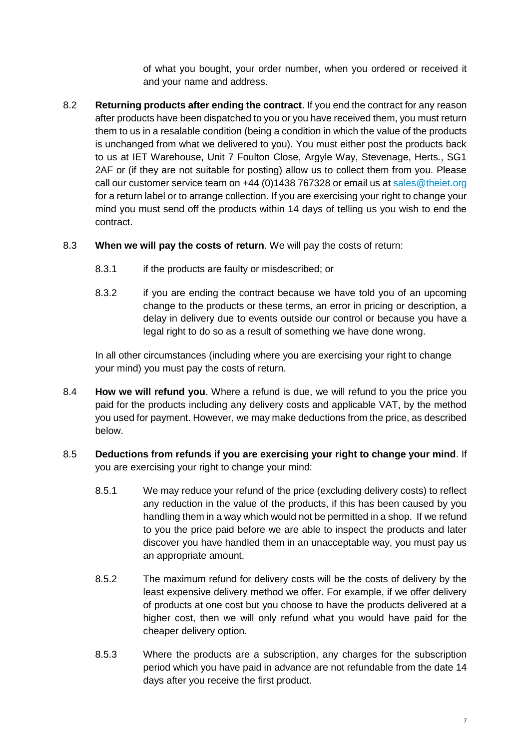of what you bought, your order number, when you ordered or received it and your name and address.

- <span id="page-6-0"></span>8.2 **Returning products after ending the contract**. If you end the contract for any reason after products have been dispatched to you or you have received them, you must return them to us in a resalable condition (being a condition in which the value of the products is unchanged from what we delivered to you). You must either post the products back to us at IET Warehouse, Unit 7 Foulton Close, Argyle Way, Stevenage, Herts., SG1 2AF or (if they are not suitable for posting) allow us to collect them from you. Please call our customer service team on +44 (0)1438 767328 or email us a[t sales@theiet.org](mailto:sales@theiet.org) for a return label or to arrange collection. If you are exercising your right to change your mind you must send off the products within 14 days of telling us you wish to end the contract.
- 8.3 **When we will pay the costs of return**. We will pay the costs of return:
	- 8.3.1 if the products are faulty or misdescribed; or
	- 8.3.2 if you are ending the contract because we have told you of an upcoming change to the products or these terms, an error in pricing or description, a delay in delivery due to events outside our control or because you have a legal right to do so as a result of something we have done wrong.

In all other circumstances (including where you are exercising your right to change your mind) you must pay the costs of return.

- 8.4 **How we will refund you**. Where a refund is due, we will refund to you the price you paid for the products including any delivery costs and applicable VAT, by the method you used for payment. However, we may make deductions from the price, as described below.
- 8.5 **Deductions from refunds if you are exercising your right to change your mind**. If you are exercising your right to change your mind:
	- 8.5.1 We may reduce your refund of the price (excluding delivery costs) to reflect any reduction in the value of the products, if this has been caused by you handling them in a way which would not be permitted in a shop. If we refund to you the price paid before we are able to inspect the products and later discover you have handled them in an unacceptable way, you must pay us an appropriate amount.
	- 8.5.2 The maximum refund for delivery costs will be the costs of delivery by the least expensive delivery method we offer. For example, if we offer delivery of products at one cost but you choose to have the products delivered at a higher cost, then we will only refund what you would have paid for the cheaper delivery option.
	- 8.5.3 Where the products are a subscription, any charges for the subscription period which you have paid in advance are not refundable from the date 14 days after you receive the first product.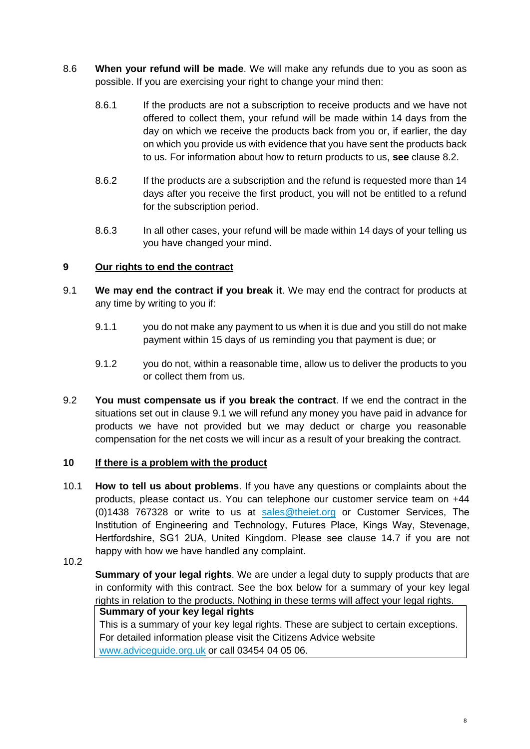- 8.6 **When your refund will be made**. We will make any refunds due to you as soon as possible. If you are exercising your right to change your mind then:
	- 8.6.1 If the products are not a subscription to receive products and we have not offered to collect them, your refund will be made within 14 days from the day on which we receive the products back from you or, if earlier, the day on which you provide us with evidence that you have sent the products back to us. For information about how to return products to us, **see** clause [8.2.](#page-6-0)
	- 8.6.2 If the products are a subscription and the refund is requested more than 14 days after you receive the first product, you will not be entitled to a refund for the subscription period.
	- 8.6.3 In all other cases, your refund will be made within 14 days of your telling us you have changed your mind.

# <span id="page-7-0"></span>**9 Our rights to end the contract**

- <span id="page-7-3"></span>9.1 **We may end the contract if you break it**. We may end the contract for products at any time by writing to you if:
	- 9.1.1 you do not make any payment to us when it is due and you still do not make payment within 15 days of us reminding you that payment is due; or
	- 9.1.2 you do not, within a reasonable time, allow us to deliver the products to you or collect them from us.
- <span id="page-7-1"></span>9.2 **You must compensate us if you break the contract**. If we end the contract in the situations set out in clause [9.1](#page-7-3) we will refund any money you have paid in advance for products we have not provided but we may deduct or charge you reasonable compensation for the net costs we will incur as a result of your breaking the contract.

#### <span id="page-7-2"></span>**10 If there is a problem with the product**

- <span id="page-7-5"></span>10.1 **How to tell us about problems**. If you have any questions or complaints about the products, please contact us. You can telephone our customer service team on +44 (0)1438 767328 or write to us at [sales@theiet.org](mailto:sales@theiet.org) or Customer Services, The Institution of Engineering and Technology, Futures Place, Kings Way, Stevenage, Hertfordshire, SG1 2UA, United Kingdom. Please see clause [14.7](#page-10-1) if you are not happy with how we have handled any complaint.
- <span id="page-7-4"></span>10.2

**Summary of your legal rights**. We are under a legal duty to supply products that are in conformity with this contract. See the box below for a summary of your key legal rights in relation to the products. Nothing in these terms will affect your legal rights.

# **Summary of your key legal rights**

This is a summary of your key legal rights. These are subject to certain exceptions. For detailed information please visit the Citizens Advice website [www.adviceguide.org.uk](http://www.adviceguide.org.uk/) or call 03454 04 05 06.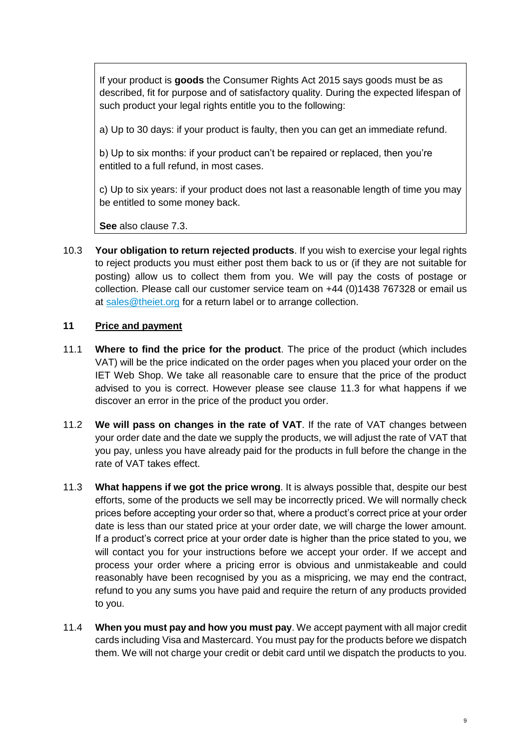If your product is **goods** the Consumer Rights Act 2015 says goods must be as described, fit for purpose and of satisfactory quality. During the expected lifespan of such product your legal rights entitle you to the following:

a) Up to 30 days: if your product is faulty, then you can get an immediate refund.

b) Up to six months: if your product can't be repaired or replaced, then you're entitled to a full refund, in most cases.

c) Up to six years: if your product does not last a reasonable length of time you may be entitled to some money back.

**See** also clause [7.3.](#page-5-0)

10.3 **Your obligation to return rejected products**. If you wish to exercise your legal rights to reject products you must either post them back to us or (if they are not suitable for posting) allow us to collect them from you. We will pay the costs of postage or collection. Please call our customer service team on +44 (0)1438 767328 or email us at [sales@theiet.org](mailto:sales@theiet.org) for a return label or to arrange collection.

# **11 Price and payment**

- 11.1 **Where to find the price for the product**. The price of the product (which includes VAT) will be the price indicated on the order pages when you placed your order on the IET Web Shop. We take all reasonable care to ensure that the price of the product advised to you is correct. However please see clause [11.3](#page-8-0) for what happens if we discover an error in the price of the product you order.
- 11.2 **We will pass on changes in the rate of VAT**. If the rate of VAT changes between your order date and the date we supply the products, we will adjust the rate of VAT that you pay, unless you have already paid for the products in full before the change in the rate of VAT takes effect.
- <span id="page-8-0"></span>11.3 **What happens if we got the price wrong**. It is always possible that, despite our best efforts, some of the products we sell may be incorrectly priced. We will normally check prices before accepting your order so that, where a product's correct price at your order date is less than our stated price at your order date, we will charge the lower amount. If a product's correct price at your order date is higher than the price stated to you, we will contact you for your instructions before we accept your order. If we accept and process your order where a pricing error is obvious and unmistakeable and could reasonably have been recognised by you as a mispricing, we may end the contract, refund to you any sums you have paid and require the return of any products provided to you.
- 11.4 **When you must pay and how you must pay**. We accept payment with all major credit cards including Visa and Mastercard. You must pay for the products before we dispatch them. We will not charge your credit or debit card until we dispatch the products to you.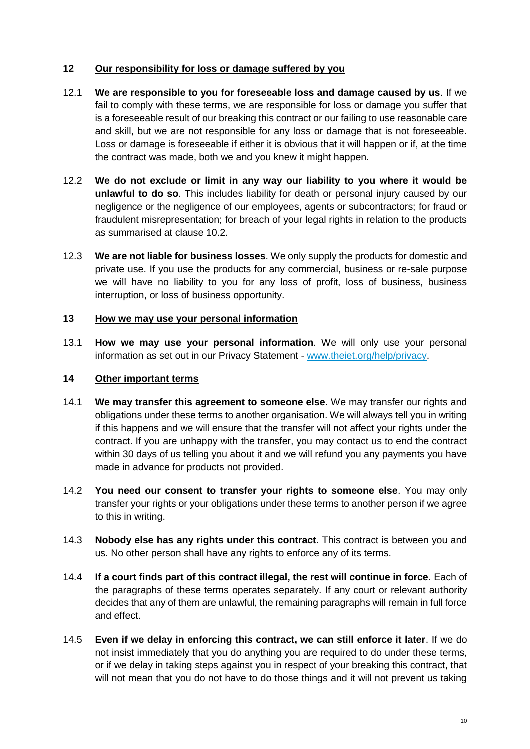# **12 Our responsibility for loss or damage suffered by you**

- 12.1 **We are responsible to you for foreseeable loss and damage caused by us**. If we fail to comply with these terms, we are responsible for loss or damage you suffer that is a foreseeable result of our breaking this contract or our failing to use reasonable care and skill, but we are not responsible for any loss or damage that is not foreseeable. Loss or damage is foreseeable if either it is obvious that it will happen or if, at the time the contract was made, both we and you knew it might happen.
- 12.2 **We do not exclude or limit in any way our liability to you where it would be unlawful to do so**. This includes liability for death or personal injury caused by our negligence or the negligence of our employees, agents or subcontractors; for fraud or fraudulent misrepresentation; for breach of your legal rights in relation to the products as summarised at clause [10.2.](#page-7-4)
- 12.3 **We are not liable for business losses**. We only supply the products for domestic and private use. If you use the products for any commercial, business or re-sale purpose we will have no liability to you for any loss of profit, loss of business, business interruption, or loss of business opportunity.

#### **13 How we may use your personal information**

13.1 **How we may use your personal information**. We will only use your personal information as set out in our Privacy Statement - [www.theiet.org/help/privacy.](http://www.theiet.org/help/privacy)

#### **14 Other important terms**

- 14.1 **We may transfer this agreement to someone else**. We may transfer our rights and obligations under these terms to another organisation. We will always tell you in writing if this happens and we will ensure that the transfer will not affect your rights under the contract. If you are unhappy with the transfer, you may contact us to end the contract within 30 days of us telling you about it and we will refund you any payments you have made in advance for products not provided.
- 14.2 **You need our consent to transfer your rights to someone else**. You may only transfer your rights or your obligations under these terms to another person if we agree to this in writing.
- 14.3 **Nobody else has any rights under this contract**. This contract is between you and us. No other person shall have any rights to enforce any of its terms.
- 14.4 **If a court finds part of this contract illegal, the rest will continue in force**. Each of the paragraphs of these terms operates separately. If any court or relevant authority decides that any of them are unlawful, the remaining paragraphs will remain in full force and effect.
- 14.5 **Even if we delay in enforcing this contract, we can still enforce it later**. If we do not insist immediately that you do anything you are required to do under these terms, or if we delay in taking steps against you in respect of your breaking this contract, that will not mean that you do not have to do those things and it will not prevent us taking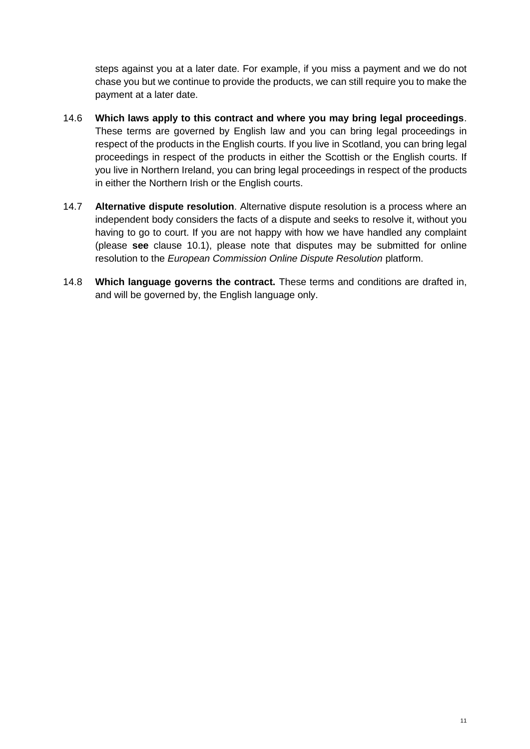steps against you at a later date. For example, if you miss a payment and we do not chase you but we continue to provide the products, we can still require you to make the payment at a later date.

- 14.6 **Which laws apply to this contract and where you may bring legal proceedings**. These terms are governed by English law and you can bring legal proceedings in respect of the products in the English courts. If you live in Scotland, you can bring legal proceedings in respect of the products in either the Scottish or the English courts. If you live in Northern Ireland, you can bring legal proceedings in respect of the products in either the Northern Irish or the English courts.
- <span id="page-10-1"></span>14.7 **Alternative dispute resolution**. Alternative dispute resolution is a process where an independent body considers the facts of a dispute and seeks to resolve it, without you having to go to court. If you are not happy with how we have handled any complaint (please **see** clause [10.1\)](#page-7-5), please note that disputes may be submitted for online resolution to the *European Commission Online Dispute Resolution* platform.
- <span id="page-10-0"></span>14.8 **Which language governs the contract.** These terms and conditions are drafted in, and will be governed by, the English language only.